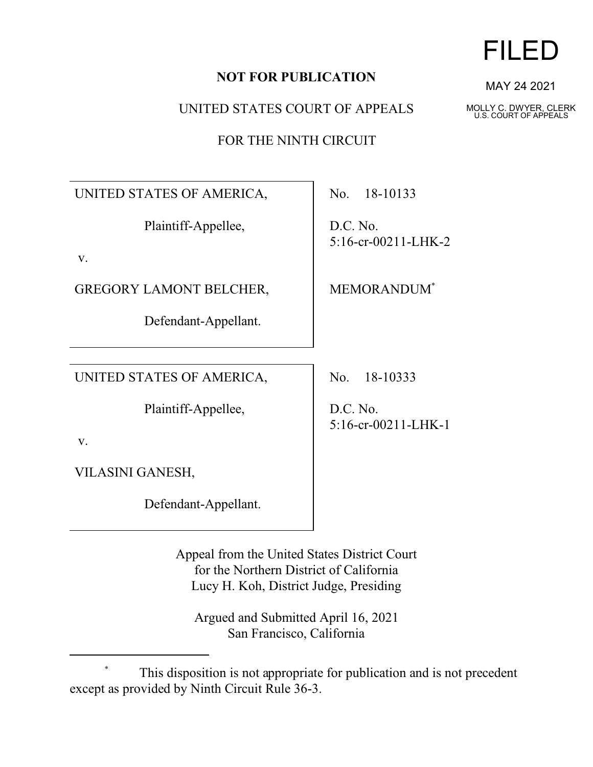## **NOT FOR PUBLICATION**

UNITED STATES COURT OF APPEALS

FOR THE NINTH CIRCUIT

UNITED STATES OF AMERICA,

Plaintiff-Appellee,

v.

GREGORY LAMONT BELCHER,

Defendant-Appellant.

UNITED STATES OF AMERICA,

Plaintiff-Appellee,

v.

VILASINI GANESH,

Defendant-Appellant.

No. 18-10133

D.C. No. 5:16-cr-00211-LHK-2

MEMORANDUM\*

No. 18-10333

D.C. No. 5:16-cr-00211-LHK-1

Appeal from the United States District Court for the Northern District of California Lucy H. Koh, District Judge, Presiding

Argued and Submitted April 16, 2021 San Francisco, California



MAY 24 2021

MOLLY C. DWYER, CLERK U.S. COURT OF APPEALS

This disposition is not appropriate for publication and is not precedent except as provided by Ninth Circuit Rule 36-3.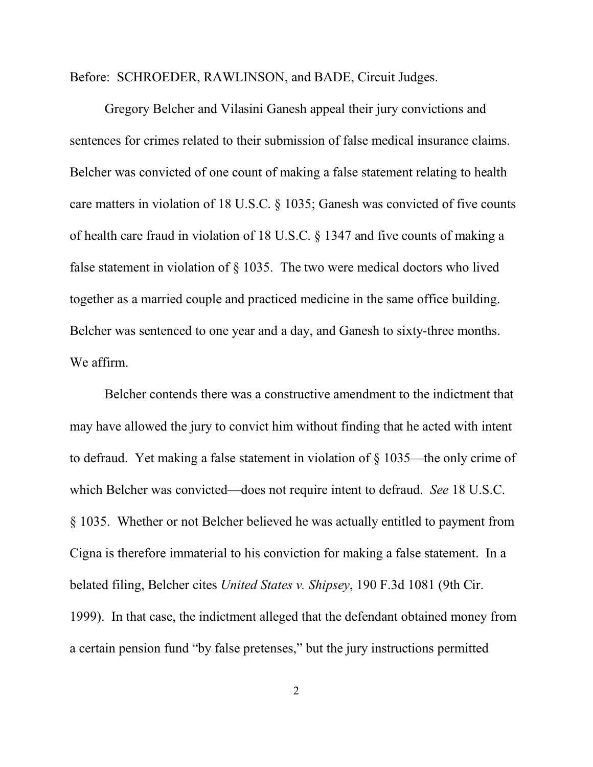Before: SCHROEDER, RAWLINSON, and BADE, Circuit Judges.

Gregory Belcher and Vilasini Ganesh appeal their jury convictions and sentences for crimes related to their submission of false medical insurance claims. Belcher was convicted of one count of making a false statement relating to health care matters in violation of 18 U.S.C. § 1035; Ganesh was convicted of five counts of health care fraud in violation of 18 U.S.C. § 1347 and five counts of making a false statement in violation of § 1035. The two were medical doctors who lived together as a married couple and practiced medicine in the same office building. Belcher was sentenced to one year and a day, and Ganesh to sixty-three months. We affirm.

Belcher contends there was a constructive amendment to the indictment that may have allowed the jury to convict him without finding that he acted with intent to defraud. Yet making a false statement in violation of § 1035—the only crime of which Belcher was convicted—does not require intent to defraud. *See* 18 U.S.C. § 1035. Whether or not Belcher believed he was actually entitled to payment from Cigna is therefore immaterial to his conviction for making a false statement. In a belated filing, Belcher cites *United States v. Shipsey*, 190 F.3d 1081 (9th Cir. 1999). In that case, the indictment alleged that the defendant obtained money from a certain pension fund "by false pretenses," but the jury instructions permitted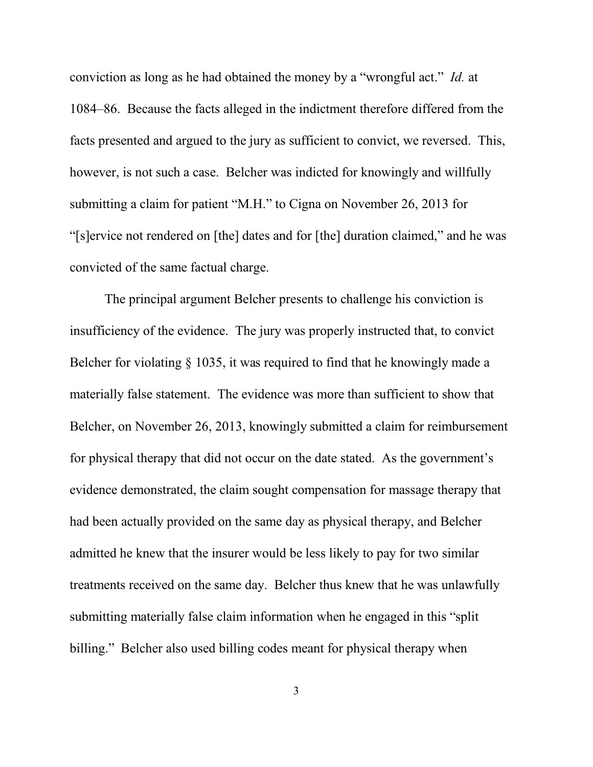conviction as long as he had obtained the money by a "wrongful act." *Id.* at 1084–86. Because the facts alleged in the indictment therefore differed from the facts presented and argued to the jury as sufficient to convict, we reversed. This, however, is not such a case. Belcher was indicted for knowingly and willfully submitting a claim for patient "M.H." to Cigna on November 26, 2013 for "[s]ervice not rendered on [the] dates and for [the] duration claimed," and he was convicted of the same factual charge.

The principal argument Belcher presents to challenge his conviction is insufficiency of the evidence. The jury was properly instructed that, to convict Belcher for violating  $\S$  1035, it was required to find that he knowingly made a materially false statement. The evidence was more than sufficient to show that Belcher, on November 26, 2013, knowingly submitted a claim for reimbursement for physical therapy that did not occur on the date stated. As the government's evidence demonstrated, the claim sought compensation for massage therapy that had been actually provided on the same day as physical therapy, and Belcher admitted he knew that the insurer would be less likely to pay for two similar treatments received on the same day. Belcher thus knew that he was unlawfully submitting materially false claim information when he engaged in this "split billing." Belcher also used billing codes meant for physical therapy when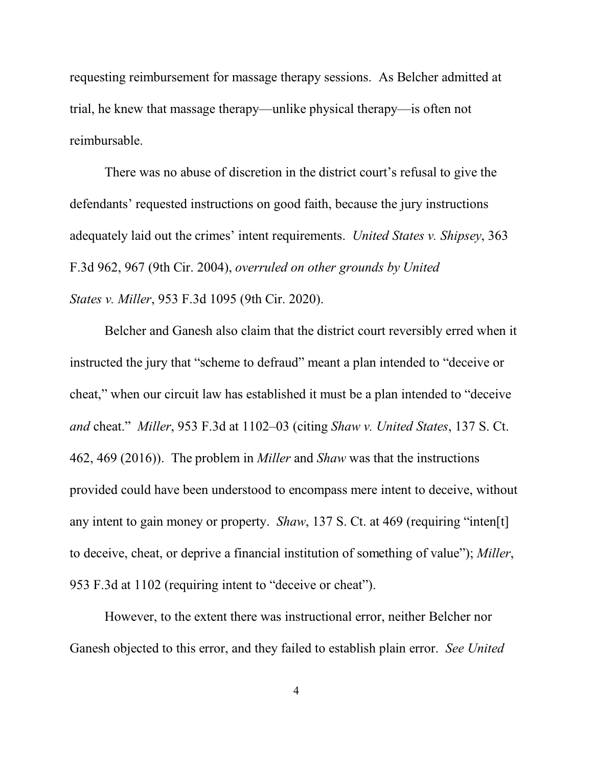requesting reimbursement for massage therapy sessions. As Belcher admitted at trial, he knew that massage therapy—unlike physical therapy—is often not reimbursable.

There was no abuse of discretion in the district court's refusal to give the defendants' requested instructions on good faith, because the jury instructions adequately laid out the crimes' intent requirements. *United States v. Shipsey*, 363 F.3d 962, 967 (9th Cir. 2004), *overruled on other grounds by United States v. Miller*, 953 F.3d 1095 (9th Cir. 2020).

Belcher and Ganesh also claim that the district court reversibly erred when it instructed the jury that "scheme to defraud" meant a plan intended to "deceive or cheat," when our circuit law has established it must be a plan intended to "deceive *and* cheat." *Miller*, 953 F.3d at 1102–03 (citing *Shaw v. United States*, 137 S. Ct. 462, 469 (2016)). The problem in *Miller* and *Shaw* was that the instructions provided could have been understood to encompass mere intent to deceive, without any intent to gain money or property. *Shaw*, 137 S. Ct. at 469 (requiring "inten[t] to deceive, cheat, or deprive a financial institution of something of value"); *Miller*, 953 F.3d at 1102 (requiring intent to "deceive or cheat").

However, to the extent there was instructional error, neither Belcher nor Ganesh objected to this error, and they failed to establish plain error. *See United*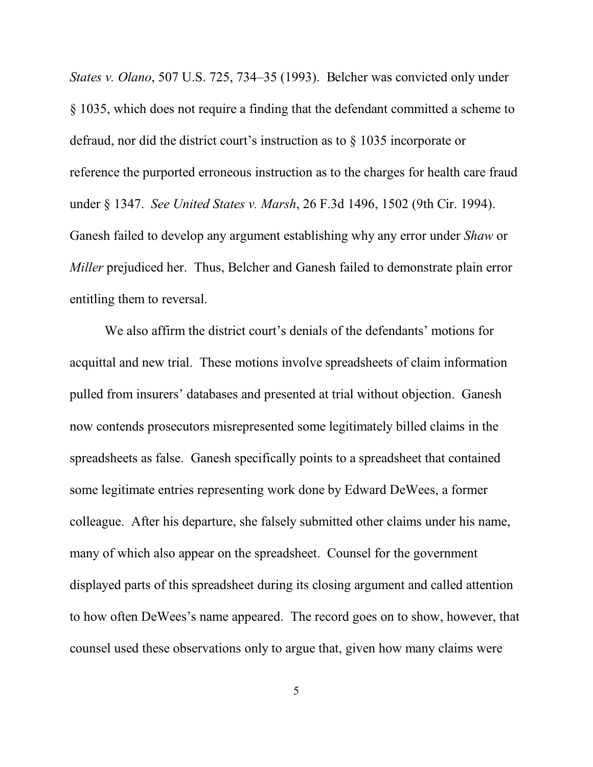*States v. Olano*, 507 U.S. 725, 734–35 (1993). Belcher was convicted only under § 1035, which does not require a finding that the defendant committed a scheme to defraud, nor did the district court's instruction as to § 1035 incorporate or reference the purported erroneous instruction as to the charges for health care fraud under § 1347. *See United States v. Marsh*, 26 F.3d 1496, 1502 (9th Cir. 1994). Ganesh failed to develop any argument establishing why any error under *Shaw* or *Miller* prejudiced her. Thus, Belcher and Ganesh failed to demonstrate plain error entitling them to reversal.

We also affirm the district court's denials of the defendants' motions for acquittal and new trial. These motions involve spreadsheets of claim information pulled from insurers' databases and presented at trial without objection. Ganesh now contends prosecutors misrepresented some legitimately billed claims in the spreadsheets as false. Ganesh specifically points to a spreadsheet that contained some legitimate entries representing work done by Edward DeWees, a former colleague. After his departure, she falsely submitted other claims under his name, many of which also appear on the spreadsheet. Counsel for the government displayed parts of this spreadsheet during its closing argument and called attention to how often DeWees's name appeared. The record goes on to show, however, that counsel used these observations only to argue that, given how many claims were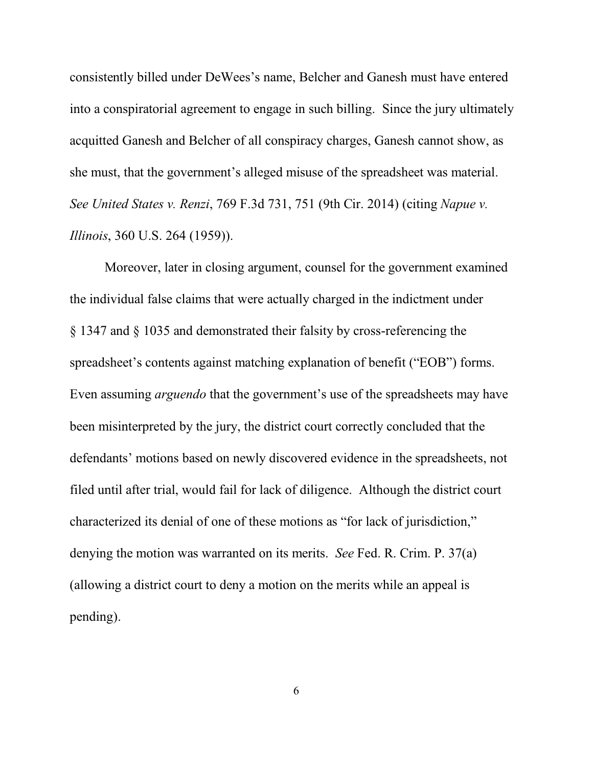consistently billed under DeWees's name, Belcher and Ganesh must have entered into a conspiratorial agreement to engage in such billing. Since the jury ultimately acquitted Ganesh and Belcher of all conspiracy charges, Ganesh cannot show, as she must, that the government's alleged misuse of the spreadsheet was material. *See United States v. Renzi*, 769 F.3d 731, 751 (9th Cir. 2014) (citing *Napue v. Illinois*, 360 U.S. 264 (1959)).

Moreover, later in closing argument, counsel for the government examined the individual false claims that were actually charged in the indictment under § 1347 and § 1035 and demonstrated their falsity by cross-referencing the spreadsheet's contents against matching explanation of benefit ("EOB") forms. Even assuming *arguendo* that the government's use of the spreadsheets may have been misinterpreted by the jury, the district court correctly concluded that the defendants' motions based on newly discovered evidence in the spreadsheets, not filed until after trial, would fail for lack of diligence. Although the district court characterized its denial of one of these motions as "for lack of jurisdiction," denying the motion was warranted on its merits. *See* Fed. R. Crim. P. 37(a) (allowing a district court to deny a motion on the merits while an appeal is pending).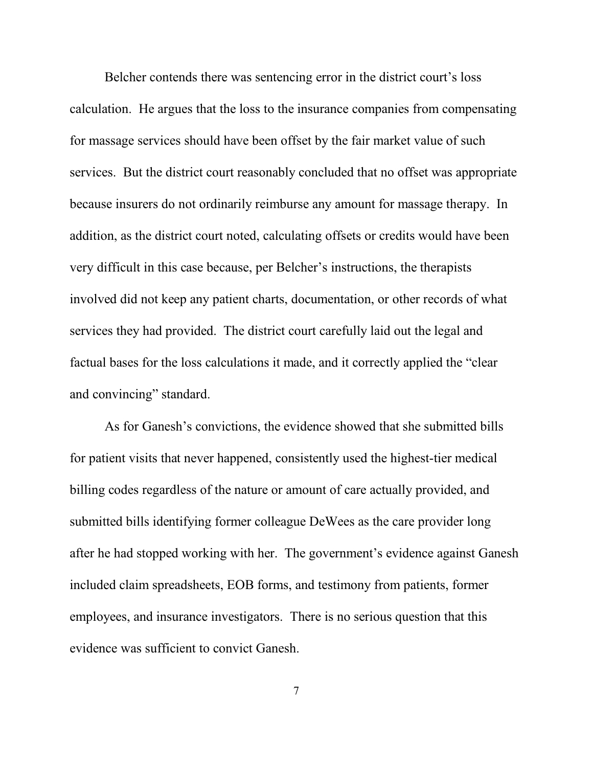Belcher contends there was sentencing error in the district court's loss calculation. He argues that the loss to the insurance companies from compensating for massage services should have been offset by the fair market value of such services. But the district court reasonably concluded that no offset was appropriate because insurers do not ordinarily reimburse any amount for massage therapy. In addition, as the district court noted, calculating offsets or credits would have been very difficult in this case because, per Belcher's instructions, the therapists involved did not keep any patient charts, documentation, or other records of what services they had provided. The district court carefully laid out the legal and factual bases for the loss calculations it made, and it correctly applied the "clear and convincing" standard.

As for Ganesh's convictions, the evidence showed that she submitted bills for patient visits that never happened, consistently used the highest-tier medical billing codes regardless of the nature or amount of care actually provided, and submitted bills identifying former colleague DeWees as the care provider long after he had stopped working with her. The government's evidence against Ganesh included claim spreadsheets, EOB forms, and testimony from patients, former employees, and insurance investigators. There is no serious question that this evidence was sufficient to convict Ganesh.

7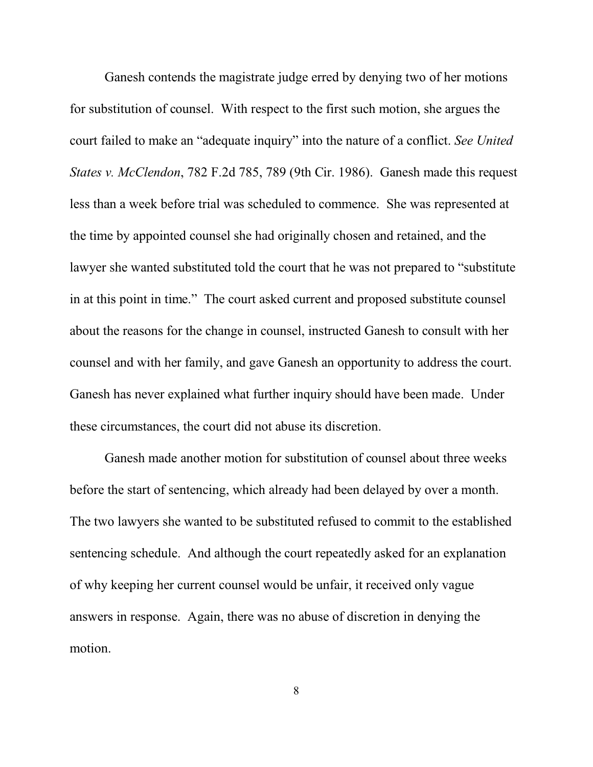Ganesh contends the magistrate judge erred by denying two of her motions for substitution of counsel. With respect to the first such motion, she argues the court failed to make an "adequate inquiry" into the nature of a conflict. *See United States v. McClendon*, 782 F.2d 785, 789 (9th Cir. 1986). Ganesh made this request less than a week before trial was scheduled to commence. She was represented at the time by appointed counsel she had originally chosen and retained, and the lawyer she wanted substituted told the court that he was not prepared to "substitute in at this point in time." The court asked current and proposed substitute counsel about the reasons for the change in counsel, instructed Ganesh to consult with her counsel and with her family, and gave Ganesh an opportunity to address the court. Ganesh has never explained what further inquiry should have been made. Under these circumstances, the court did not abuse its discretion.

Ganesh made another motion for substitution of counsel about three weeks before the start of sentencing, which already had been delayed by over a month. The two lawyers she wanted to be substituted refused to commit to the established sentencing schedule. And although the court repeatedly asked for an explanation of why keeping her current counsel would be unfair, it received only vague answers in response. Again, there was no abuse of discretion in denying the motion.

8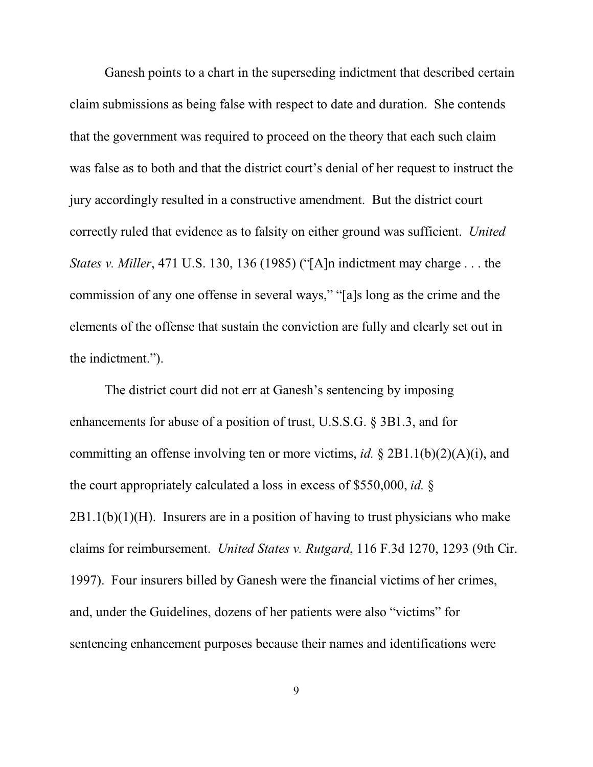Ganesh points to a chart in the superseding indictment that described certain claim submissions as being false with respect to date and duration. She contends that the government was required to proceed on the theory that each such claim was false as to both and that the district court's denial of her request to instruct the jury accordingly resulted in a constructive amendment. But the district court correctly ruled that evidence as to falsity on either ground was sufficient. *United States v. Miller*, 471 U.S. 130, 136 (1985) ("[A]n indictment may charge . . . the commission of any one offense in several ways," "[a]s long as the crime and the elements of the offense that sustain the conviction are fully and clearly set out in the indictment.").

The district court did not err at Ganesh's sentencing by imposing enhancements for abuse of a position of trust, U.S.S.G. § 3B1.3, and for committing an offense involving ten or more victims, *id.* § 2B1.1(b)(2)(A)(i), and the court appropriately calculated a loss in excess of \$550,000, *id.* §  $2B1.1(b)(1)(H)$ . Insurers are in a position of having to trust physicians who make claims for reimbursement. *United States v. Rutgard*, 116 F.3d 1270, 1293 (9th Cir. 1997). Four insurers billed by Ganesh were the financial victims of her crimes, and, under the Guidelines, dozens of her patients were also "victims" for sentencing enhancement purposes because their names and identifications were